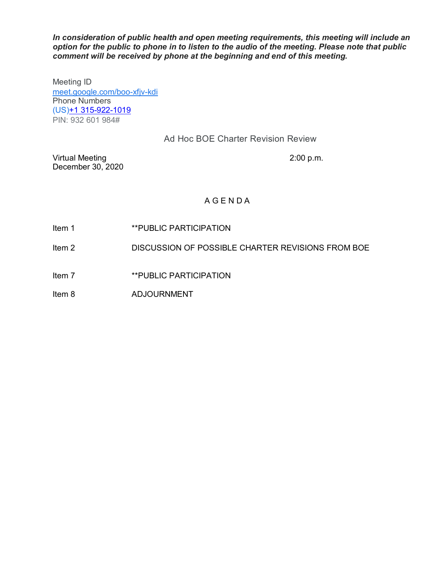*In consideration of public health and open meeting requirements, this meeting will include an option for the public to phone in to listen to the audio of the meeting. Please note that public comment will be received by phone at the beginning and end of this meeting.*

Meeting ID [meet.google.com/boo-xfjv-kdi](https://meet.google.com/boo-xfjv-kdi?hs=122&authuser=0) Phone Numbers (US)+1 [315-922-1019](tel:%E2%80%AA+1%20315-922-1019%E2%80%AC) PIN: 932 601 984#

# Ad Hoc BOE Charter Revision Review

Virtual Meeting 2:00 p.m. December 30, 2020

# A G E N D A

- Item 1 **\*\*PUBLIC PARTICIPATION**
- Item 2 DISCUSSION OF POSSIBLE CHARTER REVISIONS FROM BOE
- Item 7 **\*\*PUBLIC PARTICIPATION**
- Item 8 ADJOURNMENT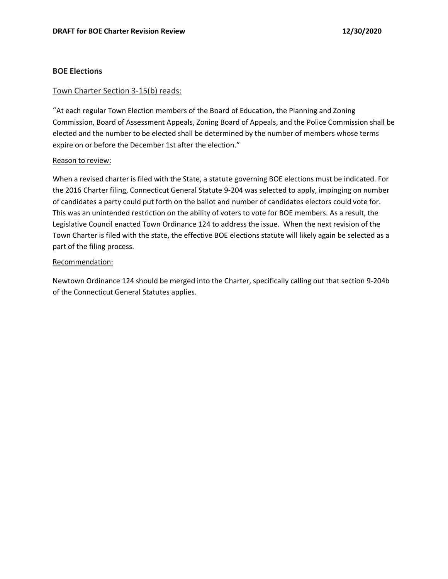## **BOE Elections**

## Town Charter Section 3-15(b) reads:

"At each regular Town Election members of the Board of Education, the Planning and Zoning Commission, Board of Assessment Appeals, Zoning Board of Appeals, and the Police Commission shall be elected and the number to be elected shall be determined by the number of members whose terms expire on or before the December 1st after the election."

### Reason to review:

When a revised charter is filed with the State, a statute governing BOE elections must be indicated. For the 2016 Charter filing, Connecticut General Statute 9-204 was selected to apply, impinging on number of candidates a party could put forth on the ballot and number of candidates electors could vote for. This was an unintended restriction on the ability of voters to vote for BOE members. As a result, the Legislative Council enacted Town Ordinance 124 to address the issue. When the next revision of the Town Charter is filed with the state, the effective BOE elections statute will likely again be selected as a part of the filing process.

### Recommendation:

Newtown Ordinance 124 should be merged into the Charter, specifically calling out that section 9-204b of the Connecticut General Statutes applies.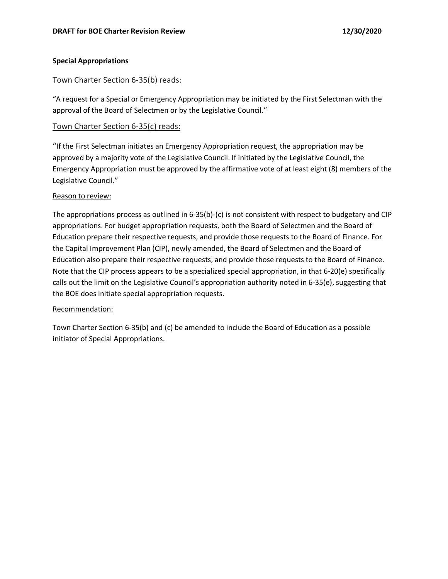# **Special Appropriations**

# Town Charter Section 6-35(b) reads:

"A request for a Special or Emergency Appropriation may be initiated by the First Selectman with the approval of the Board of Selectmen or by the Legislative Council."

# Town Charter Section 6-35(c) reads:

"If the First Selectman initiates an Emergency Appropriation request, the appropriation may be approved by a majority vote of the Legislative Council. If initiated by the Legislative Council, the Emergency Appropriation must be approved by the affirmative vote of at least eight (8) members of the Legislative Council."

## Reason to review:

The appropriations process as outlined in 6-35(b)-(c) is not consistent with respect to budgetary and CIP appropriations. For budget appropriation requests, both the Board of Selectmen and the Board of Education prepare their respective requests, and provide those requests to the Board of Finance. For the Capital Improvement Plan (CIP), newly amended, the Board of Selectmen and the Board of Education also prepare their respective requests, and provide those requests to the Board of Finance. Note that the CIP process appears to be a specialized special appropriation, in that 6-20(e) specifically calls out the limit on the Legislative Council's appropriation authority noted in 6-35(e), suggesting that the BOE does initiate special appropriation requests.

## Recommendation:

Town Charter Section 6-35(b) and (c) be amended to include the Board of Education as a possible initiator of Special Appropriations.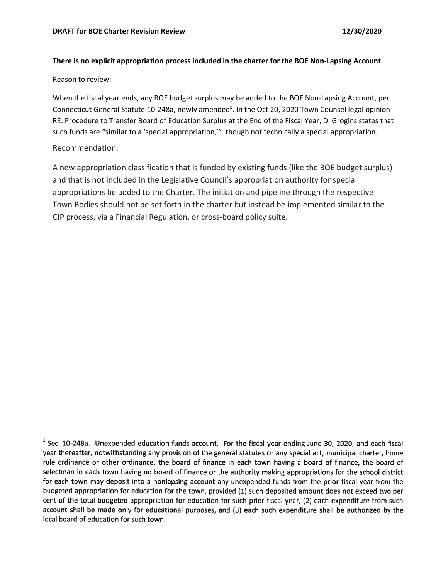## **There is no explicit appropriation process included in the charter for the BOE Non-Lapsing Account**

#### Reason to review:

When the fiscal year ends, any BOE budget surplus may be added to the BOE Non-Lapsing Account, per Connecticut General Statute 10-248a, newly amended<sup>1</sup>. In the Oct 20, 2020 Town Counsel legal opinion RE: Procedure to Transfer Board of Education Surplus at the End of the Fiscal Year, D. Grogins states that such funds are "similar to a 'special appropriation,'" though not technically a special appropriation.

### Recommendation:

A new appropriation classification that is funded by existing funds (like the BOE budget surplus) and that is not included in the Legislative Council's appropriation authority for special appropriations be added to the Charter. The initiation and pipeline through the respective Town Bodies should not be set forth in the charter but instead be implemented similar to the CIP process, via a Financial Regulation, or cross-board policy suite.

 $<sup>1</sup>$  Sec. 10-248a. Unexpended education funds account. For the fiscal year ending June 30, 2020, and each fiscal</sup> year thereafter, notwithstanding any provision of the general statutes or any special act, municipal charter, home rule ordinance or other ordinance, the board of finance in each town having a board of finance, the board of selectman in each town having no board of finance or the authority making appropriations for the school district for each town may deposit into a nonlapsing account any unexpended funds from the prior fiscal year from the budgeted appropriation for education for the town, provided (1) such deposited amount does not exceed two per cent of the total budgeted appropriation for education for such prior fiscal year, (2) each expenditure from such account shall be made only for educational purposes, and (3) each such expenditure shall be authorized by the local board of education for such town.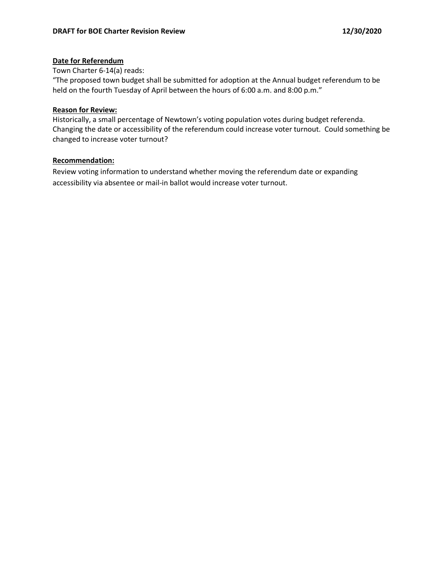## **Date for Referendum**

## Town Charter 6-14(a) reads:

"The proposed town budget shall be submitted for adoption at the Annual budget referendum to be held on the fourth Tuesday of April between the hours of 6:00 a.m. and 8:00 p.m."

## **Reason for Review:**

Historically, a small percentage of Newtown's voting population votes during budget referenda. Changing the date or accessibility of the referendum could increase voter turnout. Could something be changed to increase voter turnout?

## **Recommendation:**

Review voting information to understand whether moving the referendum date or expanding accessibility via absentee or mail-in ballot would increase voter turnout.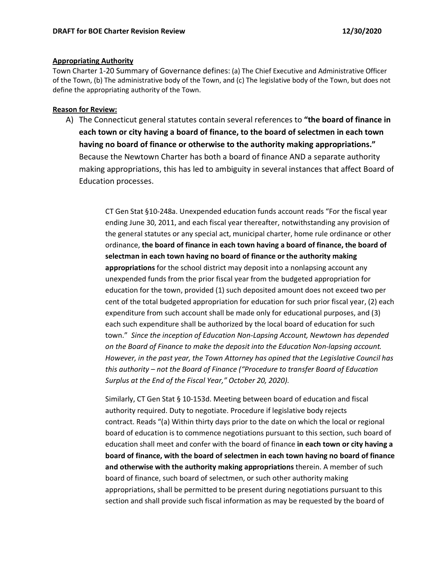### **Appropriating Authority**

Town Charter 1-20 Summary of Governance defines: (a) The Chief Executive and Administrative Officer of the Town, (b) The administrative body of the Town, and (c) The legislative body of the Town, but does not define the appropriating authority of the Town.

## **Reason for Review:**

A) The Connecticut general statutes contain several references to **"the board of finance in each town or city having a board of finance, to the board of selectmen in each town having no board of finance or otherwise to the authority making appropriations."** Because the Newtown Charter has both a board of finance AND a separate authority making appropriations, this has led to ambiguity in several instances that affect Board of Education processes.

> CT Gen Stat §10-248a. Unexpended education funds account reads "For the fiscal year ending June 30, 2011, and each fiscal year thereafter, notwithstanding any provision of the general statutes or any special act, municipal charter, home rule ordinance or other ordinance, **the board of finance in each town having a board of finance, the board of selectman in each town having no board of finance or the authority making appropriations** for the school district may deposit into a nonlapsing account any unexpended funds from the prior fiscal year from the budgeted appropriation for education for the town, provided (1) such deposited amount does not exceed two per cent of the total budgeted appropriation for education for such prior fiscal year, (2) each expenditure from such account shall be made only for educational purposes, and (3) each such expenditure shall be authorized by the local board of education for such town." *Since the inception of Education Non-Lapsing Account, Newtown has depended on the Board of Finance to make the deposit into the Education Non-lapsing account. However, in the past year, the Town Attorney has opined that the Legislative Council has this authority – not the Board of Finance ("Procedure to transfer Board of Education Surplus at the End of the Fiscal Year," October 20, 2020).*

> Similarly, CT Gen Stat § 10-153d. Meeting between board of education and fiscal authority required. Duty to negotiate. Procedure if legislative body rejects contract. Reads "(a) Within thirty days prior to the date on which the local or regional board of education is to commence negotiations pursuant to this section, such board of education shall meet and confer with the board of finance **in each town or city having a board of finance, with the board of selectmen in each town having no board of finance and otherwise with the authority making appropriations** therein. A member of such board of finance, such board of selectmen, or such other authority making appropriations, shall be permitted to be present during negotiations pursuant to this section and shall provide such fiscal information as may be requested by the board of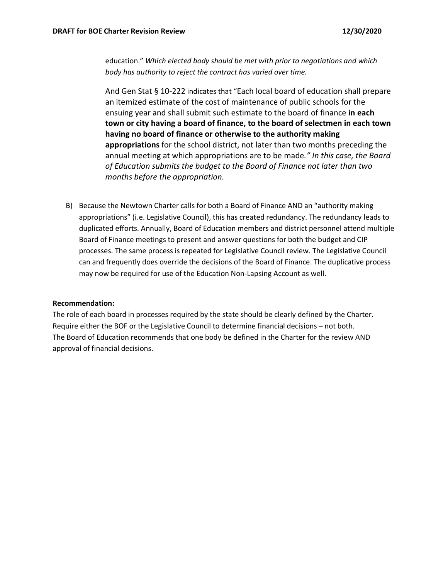education." *Which elected body should be met with prior to negotiations and which body has authority to reject the contract has varied over time.* 

[And Gen Stat § 10-222](https://law.justia.com/citations.html) indicates that "Each local board of education shall prepare an itemized estimate of the cost of maintenance of public schools for the ensuing year and shall submit such estimate to the board of finance **in each town or city having a board of finance, to the board of selectmen in each town having no board of finance or otherwise to the authority making appropriations** for the school district, not later than two months preceding the annual meeting at which appropriations are to be made*." In this case, the Board of Education submits the budget to the Board of Finance not later than two months before the appropriation.* 

B) Because the Newtown Charter calls for both a Board of Finance AND an "authority making appropriations" (i.e. Legislative Council), this has created redundancy. The redundancy leads to duplicated efforts. Annually, Board of Education members and district personnel attend multiple Board of Finance meetings to present and answer questions for both the budget and CIP processes. The same process is repeated for Legislative Council review. The Legislative Council can and frequently does override the decisions of the Board of Finance. The duplicative process may now be required for use of the Education Non-Lapsing Account as well.

### **Recommendation:**

The role of each board in processes required by the state should be clearly defined by the Charter. Require either the BOF or the Legislative Council to determine financial decisions – not both. The Board of Education recommends that one body be defined in the Charter for the review AND approval of financial decisions.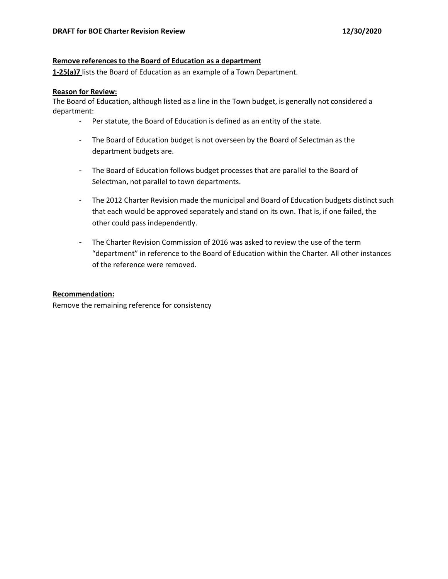### **Remove references to the Board of Education as a department**

**1-25(a)7** lists the Board of Education as an example of a Town Department.

### **Reason for Review:**

The Board of Education, although listed as a line in the Town budget, is generally not considered a department:

- Per statute, the Board of Education is defined as an entity of the state.
- The Board of Education budget is not overseen by the Board of Selectman as the department budgets are.
- The Board of Education follows budget processes that are parallel to the Board of Selectman, not parallel to town departments.
- The 2012 Charter Revision made the municipal and Board of Education budgets distinct such that each would be approved separately and stand on its own. That is, if one failed, the other could pass independently.
- The Charter Revision Commission of 2016 was asked to review the use of the term "department" in reference to the Board of Education within the Charter. All other instances of the reference were removed.

## **Recommendation:**

Remove the remaining reference for consistency